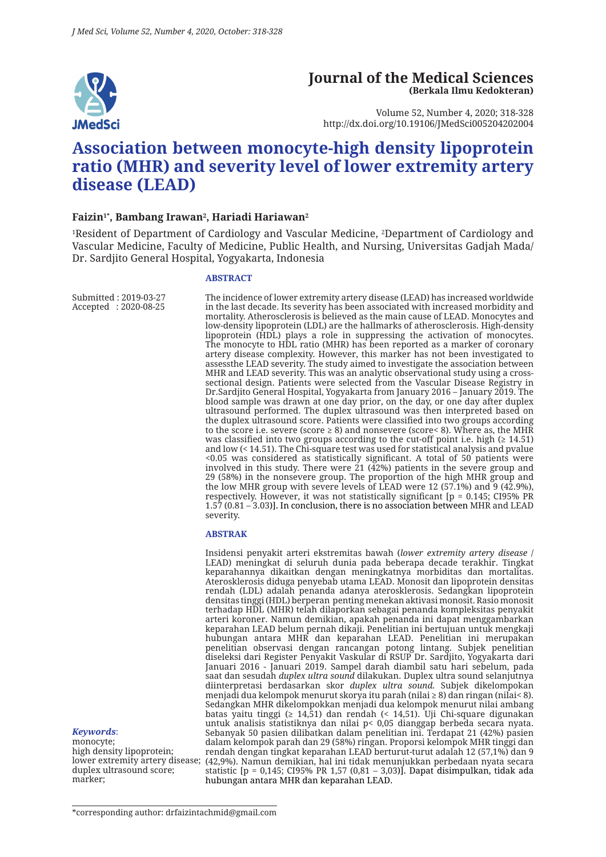

#### **Journal of the Medical Sciences (Berkala Ilmu Kedokteran)**

Volume 52, Number 4, 2020; 318-328 http://dx.doi.org/10.19106/JMedSci005204202004

# **Association between monocyte-high density lipoprotein ratio (MHR) and severity level of lower extremity artery disease (LEAD)**

#### **Faizin1\*, Bambang Irawan2 , Hariadi Hariawan2**

<sup>1</sup>Resident of Department of Cardiology and Vascular Medicine, <sup>2</sup>Department of Cardiology and Vascular Medicine, Faculty of Medicine, Public Health, and Nursing, Universitas Gadjah Mada/ Dr. Sardjito General Hospital, Yogyakarta, Indonesia

#### **ABSTRACT**

Submitted : 2019-03-27 Accepted : 2020-08-25 The incidence of lower extremity artery disease (LEAD) has increased worldwide in the last decade. Its severity has been associated with increased morbidity and mortality. Atherosclerosis is believed as the main cause of LEAD. Monocytes and low-density lipoprotein (LDL) are the hallmarks of atherosclerosis. High-density lipoprotein (HDL) plays a role in suppressing the activation of monocytes. The monocyte to HDL ratio (MHR) has been reported as a marker of coronary artery disease complexity. However, this marker has not been investigated to assessthe LEAD severity. The study aimed to investigate the association between MHR and LEAD severity. This was an analytic observational study using a crosssectional design. Patients were selected from the Vascular Disease Registry in Dr.Sardjito General Hospital, Yogyakarta from January 2016 – January 2019. The blood sample was drawn at one day prior, on the day, or one day after duplex ultrasound performed. The duplex ultrasound was then interpreted based on the duplex ultrasound score. Patients were classified into two groups according to the score i.e. severe (score  $\geq 8$ ) and nonsevere (score< 8). Where as, the MHR was classified into two groups according to the cut-off point i.e. high  $(≥ 14.51)$ and low (< 14.51). The Chi-square test was used for statistical analysis and pvalue <0.05 was considered as statistically significant. A total of 50 patients were involved in this study. There were 21 (42%) patients in the severe group and 29 (58%) in the nonsevere group. The proportion of the high MHR group and the low MHR group with severe levels of LEAD were 12 (57.1%) and 9 (42.9%), respectively. However, it was not statistically significant  $[p = 0.145; C195\% \text{ PR}]$  $1.57(0.81 - 3.03)$ ]. In conclusion, there is no association between MHR and LEAD severity.

#### **ABSTRAK**

Insidensi penyakit arteri ekstremitas bawah (*lower extremity artery disease* / LEAD) meningkat di seluruh dunia pada beberapa decade terakhir. Tingkat keparahannya dikaitkan dengan meningkatnya morbiditas dan mortalitas. Aterosklerosis diduga penyebab utama LEAD. Monosit dan lipoprotein densitas rendah (LDL) adalah penanda adanya aterosklerosis. Sedangkan lipoprotein densitas tinggi (HDL) berperan penting menekan aktivasi monosit. Rasio monosit terhadap HDL (MHR) telah dilaporkan sebagai penanda kompleksitas penyakit arteri koroner. Namun demikian, apakah penanda ini dapat menggambarkan keparahan LEAD belum pernah dikaji. Penelitian ini bertujuan untuk mengkaji hubungan antara MHR dan keparahan LEAD. Penelitian ini merupakan penelitian observasi dengan rancangan potong lintang. Subjek penelitian diseleksi dari Register Penyakit Vaskular di RSUP Dr. Sardjito, Yogyakarta dari Januari 2016 - Januari 2019. Sampel darah diambil satu hari sebelum, pada saat dan sesudah *duplex ultra sound* dilakukan. Duplex ultra sound selanjutnya diinterpretasi berdasarkan skor *duplex ultra sound.* Subjek dikelompokan menjadi dua kelompok menurut skorya itu parah (nilai ≥ 8) dan ringan (nilai< 8). Sedangkan MHR dikelompokkan menjadi dua kelompok menurut nilai ambang batas yaitu tinggi (≥ 14,51) dan rendah (< 14,51). Uji Chi-square digunakan untuk analisis statistiknya dan nilai p< 0,05 dianggap berbeda secara nyata. Sebanyak 50 pasien dilibatkan dalam penelitian ini. Terdapat 21 (42%) pasien dalam kelompok parah dan 29 (58%) ringan. Proporsi kelompok MHR tinggi dan rendah dengan tingkat keparahan LEAD berturut-turut adalah 12 (57,1%) dan 9 (42,9%). Namun demikian, hal ini tidak menunjukkan perbedaan nyata secara statistic [p = 0,145; CI95% PR 1,57 (0,81 – 3,03)]. Dapat disimpulkan, tidak ada hubungan antara MHR dan keparahan LEAD.

*Keywords*:

monocyte; high density lipoprotein; lower extremity artery disease; duplex ultrasound score; marker;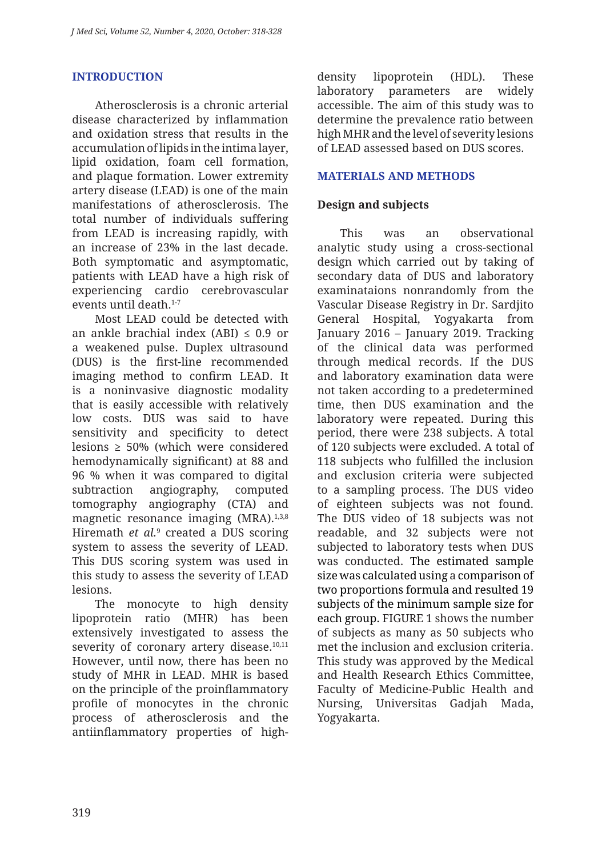# **INTRODUCTION**

Atherosclerosis is a chronic arterial disease characterized by inflammation and oxidation stress that results in the accumulation of lipids in the intima layer, lipid oxidation, foam cell formation, and plaque formation. Lower extremity artery disease (LEAD) is one of the main manifestations of atherosclerosis. The total number of individuals suffering from LEAD is increasing rapidly, with an increase of 23% in the last decade. Both symptomatic and asymptomatic, patients with LEAD have a high risk of experiencing cardio cerebrovascular events until death.<sup>1-7</sup>

Most LEAD could be detected with an ankle brachial index  $(ABI) \leq 0.9$  or a weakened pulse. Duplex ultrasound (DUS) is the first-line recommended imaging method to confirm LEAD. It is a noninvasive diagnostic modality that is easily accessible with relatively low costs. DUS was said to have sensitivity and specificity to detect lesions ≥ 50% (which were considered hemodynamically significant) at 88 and 96 % when it was compared to digital subtraction angiography, computed tomography angiography (CTA) and magnetic resonance imaging (MRA).<sup>1,3,8</sup> Hiremath *et al.*<sup>9</sup> created a DUS scoring system to assess the severity of LEAD. This DUS scoring system was used in this study to assess the severity of LEAD lesions.

The monocyte to high density lipoprotein ratio (MHR) has been extensively investigated to assess the severity of coronary artery disease.<sup>10,11</sup> However, until now, there has been no study of MHR in LEAD. MHR is based on the principle of the proinflammatory profile of monocytes in the chronic process of atherosclerosis and the antiinflammatory properties of highdensity lipoprotein (HDL). These laboratory parameters are widely accessible. The aim of this study was to determine the prevalence ratio between high MHR and the level of severity lesions of LEAD assessed based on DUS scores.

### **MATERIALS AND METHODS**

#### **Design and subjects**

This was an observational analytic study using a cross-sectional design which carried out by taking of secondary data of DUS and laboratory examinataions nonrandomly from the Vascular Disease Registry in Dr. Sardjito General Hospital, Yogyakarta from January 2016 – January 2019. Tracking of the clinical data was performed through medical records. If the DUS and laboratory examination data were not taken according to a predetermined time, then DUS examination and the laboratory were repeated. During this period, there were 238 subjects. A total of 120 subjects were excluded. A total of 118 subjects who fulfilled the inclusion and exclusion criteria were subjected to a sampling process. The DUS video of eighteen subjects was not found. The DUS video of 18 subjects was not readable, and 32 subjects were not subjected to laboratory tests when DUS was conducted. The estimated sample size was calculated using a comparison of two proportions formula and resulted 19 subjects of the minimum sample size for each group. FIGURE 1 shows the number of subjects as many as 50 subjects who met the inclusion and exclusion criteria. This study was approved by the Medical and Health Research Ethics Committee, Faculty of Medicine-Public Health and Nursing, Universitas Gadjah Mada, Yogyakarta.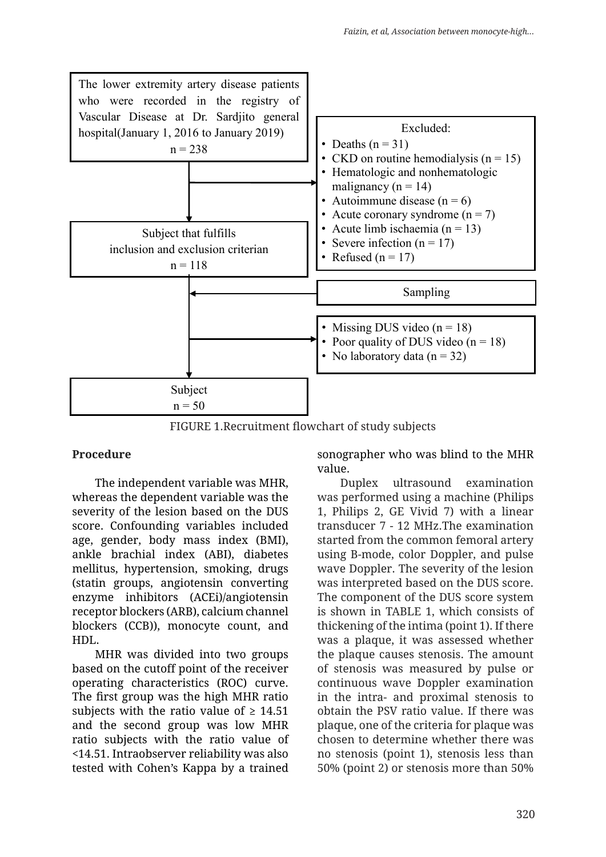

FIGURE 1.Recruitment flowchart of study subjects

### **Procedure**

The independent variable was MHR, whereas the dependent variable was the severity of the lesion based on the DUS score. Confounding variables included age, gender, body mass index (BMI), ankle brachial index (ABI), diabetes mellitus, hypertension, smoking, drugs (statin groups, angiotensin converting enzyme inhibitors (ACEi)/angiotensin receptor blockers (ARB), calcium channel blockers (CCB)), monocyte count, and HDL.

MHR was divided into two groups based on the cutoff point of the receiver operating characteristics (ROC) curve. The first group was the high MHR ratio subjects with the ratio value of  $\geq 14.51$ and the second group was low MHR ratio subjects with the ratio value of <14.51. Intraobserver reliability was also tested with Cohen's Kappa by a trained sonographer who was blind to the MHR value.

Duplex ultrasound examination was performed using a machine (Philips 1, Philips 2, GE Vivid 7) with a linear transducer 7 - 12 MHz.The examination started from the common femoral artery using B-mode, color Doppler, and pulse wave Doppler. The severity of the lesion was interpreted based on the DUS score. The component of the DUS score system is shown in TABLE 1, which consists of thickening of the intima (point 1). If there was a plaque, it was assessed whether the plaque causes stenosis. The amount of stenosis was measured by pulse or continuous wave Doppler examination in the intra- and proximal stenosis to obtain the PSV ratio value. If there was plaque, one of the criteria for plaque was chosen to determine whether there was no stenosis (point 1), stenosis less than 50% (point 2) or stenosis more than 50%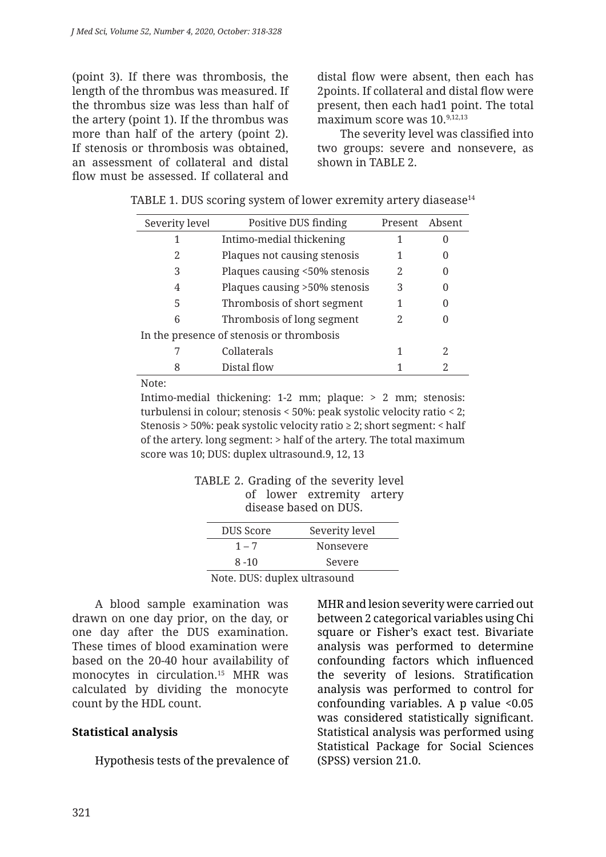(point 3). If there was thrombosis, the length of the thrombus was measured. If the thrombus size was less than half of the artery (point 1). If the thrombus was more than half of the artery (point 2). If stenosis or thrombosis was obtained, an assessment of collateral and distal flow must be assessed. If collateral and distal flow were absent, then each has 2points. If collateral and distal flow were present, then each had1 point. The total maximum score was 10.9,12,13

The severity level was classified into two groups: severe and nonsevere, as shown in TABLE 2.

| Severity level | Positive DUS finding                      | Present | Absent |
|----------------|-------------------------------------------|---------|--------|
| 1              | Intimo-medial thickening                  |         |        |
| 2              | Plaques not causing stenosis              |         |        |
| 3              | Plaques causing <50% stenosis             | 2       |        |
| 4              | Plaques causing >50% stenosis             | 3       |        |
| 5              | Thrombosis of short segment               |         |        |
| 6              | Thrombosis of long segment                |         |        |
|                | In the presence of stenosis or thrombosis |         |        |
|                | Collaterals                               |         | 2      |
| 8              | Distal flow                               |         |        |

| TABLE 1. DUS scoring system of lower exremity artery diasease $^{\rm 14}$ |  |  |
|---------------------------------------------------------------------------|--|--|
|---------------------------------------------------------------------------|--|--|

Note:

Intimo-medial thickening: 1-2 mm; plaque: > 2 mm; stenosis: turbulensi in colour; stenosis < 50%: peak systolic velocity ratio < 2; Stenosis > 50%: peak systolic velocity ratio ≥ 2; short segment: < half of the artery. long segment: > half of the artery. The total maximum score was 10; DUS: duplex ultrasound.9, 12, 13

|  | TABLE 2. Grading of the severity level |  |
|--|----------------------------------------|--|
|  | of lower extremity artery              |  |
|  | disease based on DUS.                  |  |

| DUS Score                                                                                                                                                                                                                                                                                                                          | Severity level |  |  |
|------------------------------------------------------------------------------------------------------------------------------------------------------------------------------------------------------------------------------------------------------------------------------------------------------------------------------------|----------------|--|--|
| $1 - 7$                                                                                                                                                                                                                                                                                                                            | Nonsevere      |  |  |
| $8 - 10$                                                                                                                                                                                                                                                                                                                           | Severe         |  |  |
| $\mathbf{r}$ $\mathbf{r}$ $\mathbf{r}$ $\mathbf{r}$ $\mathbf{r}$ $\mathbf{r}$ $\mathbf{r}$ $\mathbf{r}$ $\mathbf{r}$ $\mathbf{r}$ $\mathbf{r}$ $\mathbf{r}$ $\mathbf{r}$ $\mathbf{r}$ $\mathbf{r}$ $\mathbf{r}$ $\mathbf{r}$ $\mathbf{r}$ $\mathbf{r}$ $\mathbf{r}$ $\mathbf{r}$ $\mathbf{r}$ $\mathbf{r}$ $\mathbf{r}$ $\mathbf{$ |                |  |  |

Note. DUS: duplex ultrasound

A blood sample examination was drawn on one day prior, on the day, or one day after the DUS examination. These times of blood examination were based on the 20-40 hour availability of monocytes in circulation.15 MHR was calculated by dividing the monocyte count by the HDL count.

### **Statistical analysis**

Hypothesis tests of the prevalence of

MHR and lesion severity were carried out between 2 categorical variables using Chi square or Fisher's exact test. Bivariate analysis was performed to determine confounding factors which influenced the severity of lesions. Stratification analysis was performed to control for confounding variables. A p value <0.05 was considered statistically significant. Statistical analysis was performed using Statistical Package for Social Sciences (SPSS) version 21.0.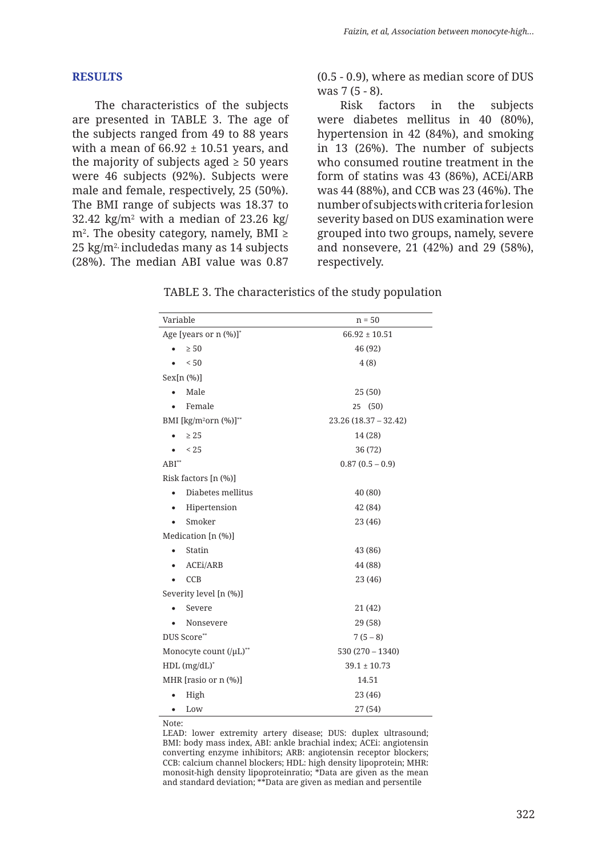#### **RESULTS**

The characteristics of the subjects are presented in TABLE 3. The age of the subjects ranged from 49 to 88 years with a mean of  $66.92 \pm 10.51$  years, and the majority of subjects aged  $\geq 50$  years were 46 subjects (92%). Subjects were male and female, respectively, 25 (50%). The BMI range of subjects was 18.37 to  $32.42 \text{ kg/m}^2$  with a median of 23.26 kg/ m2 . The obesity category, namely, BMI ≥ 25 kg/m<sup>2,</sup> includedas many as 14 subjects (28%). The median ABI value was 0.87

(0.5 - 0.9), where as median score of DUS was 7 (5 - 8).

Risk factors in the subjects were diabetes mellitus in 40 (80%), hypertension in 42 (84%), and smoking in 13 (26%). The number of subjects who consumed routine treatment in the form of statins was 43 (86%), ACEi/ARB was 44 (88%), and CCB was 23 (46%). The number of subjects with criteria for lesion severity based on DUS examination were grouped into two groups, namely, severe and nonsevere, 21 (42%) and 29 (58%), respectively.

TABLE 3. The characteristics of the study population

| Variable                          | $n = 50$               |
|-----------------------------------|------------------------|
| Age [years or n (%)]*             | $66.92 \pm 10.51$      |
| $\geq 50$                         | 46 (92)                |
| < 50<br>$\bullet$                 | 4(8)                   |
| Sex[n(%)]                         |                        |
| Male                              | 25 (50)                |
| Female<br>$\bullet$               | 25 (50)                |
| BMI [kg/m <sup>2</sup> orn (%)]** | $23.26(18.37 - 32.42)$ |
| $\geq 25$                         | 14 (28)                |
| < 25                              | 36 (72)                |
| $ABI^{**}$                        | $0.87(0.5-0.9)$        |
| Risk factors [n (%)]              |                        |
| Diabetes mellitus<br>$\bullet$    | 40 (80)                |
| Hipertension<br>$\bullet$         | 42 (84)                |
| Smoker                            | 23 (46)                |
| Medication [n (%)]                |                        |
| Statin<br>$\bullet$               | 43 (86)                |
| ACEi/ARB<br>$\bullet$             | 44 (88)                |
| <b>CCB</b>                        | 23 (46)                |
| Severity level [n (%)]            |                        |
| Severe                            | 21 (42)                |
| Nonsevere                         | 29 (58)                |
| DUS Score**                       | $7(5-8)$               |
| Monocyte count (/µL)**            | $530(270 - 1340)$      |
| $HDL$ (mg/dL)*                    | $39.1 \pm 10.73$       |
| MHR [rasio or n (%)]              | 14.51                  |
| High                              | 23 (46)                |
| Low<br>$\bullet$                  | 27 (54)                |

Note:

LEAD: lower extremity artery disease; DUS: duplex ultrasound; BMI: body mass index, ABI: ankle brachial index; ACEi: angiotensin converting enzyme inhibitors; ARB: angiotensin receptor blockers; CCB: calcium channel blockers; HDL: high density lipoprotein; MHR: monosit-high density lipoproteinratio; \*Data are given as the mean and standard deviation; \*\*Data are given as median and persentile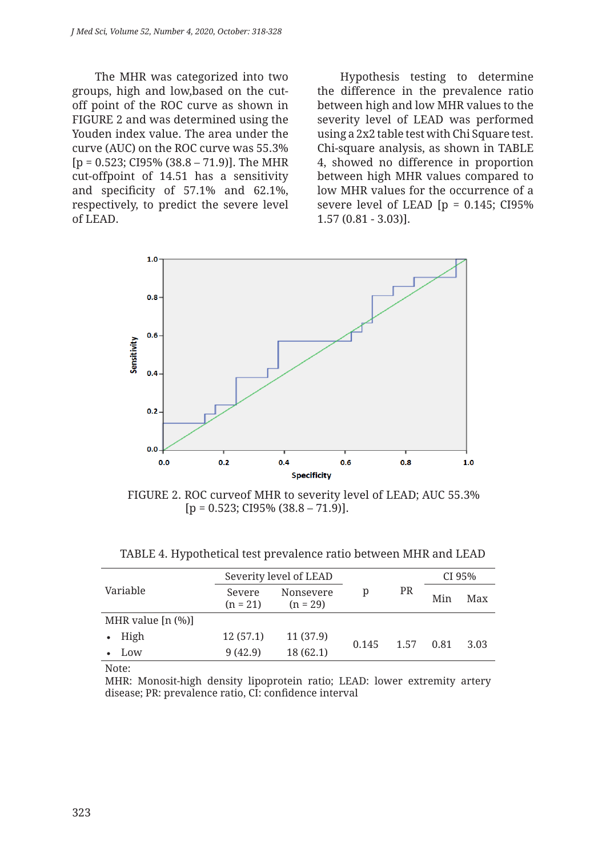The MHR was categorized into two groups, high and low,based on the cutoff point of the ROC curve as shown in FIGURE 2 and was determined using the Youden index value. The area under the curve (AUC) on the ROC curve was 55.3%  $[p = 0.523; C195\% (38.8 - 71.9)].$  The MHR cut-offpoint of 14.51 has a sensitivity and specificity of 57.1% and 62.1%, respectively, to predict the severe level of LEAD.

Hypothesis testing to determine the difference in the prevalence ratio between high and low MHR values to the severity level of LEAD was performed using a 2x2 table test with Chi Square test. Chi-square analysis, as shown in TABLE 4, showed no difference in proportion between high MHR values compared to low MHR values for the occurrence of a severe level of LEAD [p = 0.145; CI95% 1.57 (0.81 - 3.03)].



FIGURE 2. ROC curveof MHR to severity level of LEAD; AUC 55.3%  $[p = 0.523; C195\% (38.8 - 71.9)].$ 

|                     | Severity level of LEAD |                         |       |           | CI 95% |      |
|---------------------|------------------------|-------------------------|-------|-----------|--------|------|
| Variable            | Severe<br>$(n = 21)$   | Nonsevere<br>$(n = 29)$ | p     | <b>PR</b> | Min    | Max  |
| MHR value $[n (%)]$ |                        |                         |       |           |        |      |
| $\bullet$ High      | 12(57.1)               | 11(37.9)                |       | 1.57      |        |      |
| Low                 | 9(42.9)                | 18 (62.1)               | 0.145 |           | 0.81   | 3.03 |
| $\blacksquare$      |                        |                         |       |           |        |      |

TABLE 4. Hypothetical test prevalence ratio between MHR and LEAD

Note:

MHR: Monosit-high density lipoprotein ratio; LEAD: lower extremity artery disease; PR: prevalence ratio, CI: confidence interval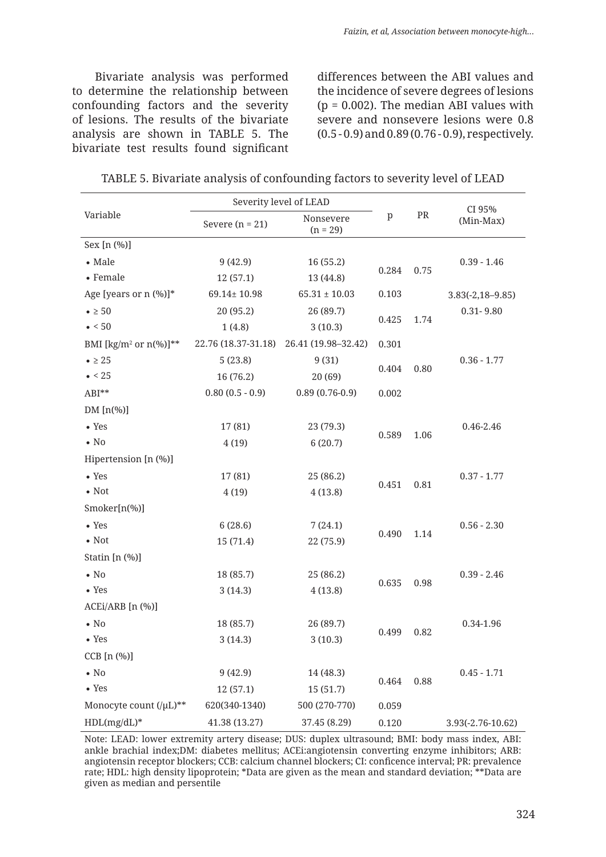Bivariate analysis was performed to determine the relationship between confounding factors and the severity of lesions. The results of the bivariate analysis are shown in TABLE 5. The bivariate test results found significant differences between the ABI values and the incidence of severe degrees of lesions  $(p = 0.002)$ . The median ABI values with severe and nonsevere lesions were 0.8 (0.5 - 0.9) and 0.89 (0.76 - 0.9), respectively.

| Variable                          | Severity level of LEAD |                         |              |               |                     |
|-----------------------------------|------------------------|-------------------------|--------------|---------------|---------------------|
|                                   | Severe $(n = 21)$      | Nonsevere<br>$(n = 29)$ | $\, {\bf p}$ | PR            | CI 95%<br>(Min-Max) |
| Sex [n (%)]                       |                        |                         |              |               |                     |
| $\bullet$ Male                    | 9(42.9)                | 16 (55.2)               |              |               | $0.39 - 1.46$       |
| • Female                          | 12(57.1)               | 13 (44.8)               | 0.284        | 0.75          |                     |
| Age [years or n (%)]*             | 69.14± 10.98           | $65.31 \pm 10.03$       | 0.103        |               | $3.83(-2, 18-9.85)$ |
| $\bullet \geq 50$                 | 20 (95.2)              | 26 (89.7)               |              |               | $0.31 - 9.80$       |
| $\bullet$ < 50                    | 1(4.8)                 | 3(10.3)                 | 0.425        | 1.74          |                     |
| BMI [kg/m <sup>2</sup> or n(%)]** | 22.76 (18.37-31.18)    | 26.41 (19.98-32.42)     | 0.301        |               |                     |
| $\bullet \geq 25$                 | 5(23.8)                | 9(31)                   |              |               | $0.36 - 1.77$       |
| $\bullet < 25$                    | 16 (76.2)              | 20 (69)                 | 0.404        | 0.80          |                     |
| $ABI**$                           | $0.80(0.5 - 0.9)$      | $0.89(0.76-0.9)$        | 0.002        |               |                     |
| $DM[n(\%)]$                       |                        |                         |              |               |                     |
| • Yes                             | 17 (81)                | 23 (79.3)               |              |               | 0.46-2.46           |
| $\bullet$ No                      | 4(19)                  | 6(20.7)                 | 0.589        | 1.06          |                     |
| Hipertension [n (%)]              |                        |                         |              |               |                     |
| • Yes                             | 17 (81)                | 25 (86.2)               |              |               | $0.37 - 1.77$       |
| $\bullet$ Not                     | 4(19)                  | 4(13.8)                 | 0.451        | 0.81          |                     |
| Smoker[n(%)]                      |                        |                         |              |               |                     |
| $\bullet$ Yes                     | 6(28.6)                | 7(24.1)                 |              | 0.490<br>1.14 | $0.56 - 2.30$       |
| $\bullet$ Not                     | 15 (71.4)              | 22 (75.9)               |              |               |                     |
| Statin [n (%)]                    |                        |                         |              |               |                     |
| $\bullet$ No                      | 18 (85.7)              | 25 (86.2)               |              | 0.635<br>0.98 | $0.39 - 2.46$       |
| $\bullet$ Yes                     | 3(14.3)                | 4(13.8)                 |              |               |                     |
| ACEi/ARB [n (%)]                  |                        |                         |              |               |                     |
| $\bullet$ No                      | 18 (85.7)              | 26 (89.7)               |              |               | 0.34-1.96           |
| • Yes                             | 3(14.3)                | 3(10.3)                 | 0.499        | 0.82          |                     |
| CCB [n (%)]                       |                        |                         |              |               |                     |
| $\bullet$ No                      | 9(42.9)                | 14 (48.3)               |              |               | $0.45 - 1.71$       |
| • Yes                             | 12 (57.1)              | 15 (51.7)               | 0.464        | 0.88          |                     |
| Monocyte count (/µL)**            | 620(340-1340)          | 500 (270-770)           | 0.059        |               |                     |
| $HDL(mg/dL)*$                     | 41.38 (13.27)          | 37.45 (8.29)            | 0.120        |               | 3.93(-2.76-10.62)   |

| TABLE 5. Bivariate analysis of confounding factors to severity level of LEAD |  |  |  |  |
|------------------------------------------------------------------------------|--|--|--|--|
|------------------------------------------------------------------------------|--|--|--|--|

Note: LEAD: lower extremity artery disease; DUS: duplex ultrasound; BMI: body mass index, ABI: ankle brachial index;DM: diabetes mellitus; ACEi:angiotensin converting enzyme inhibitors; ARB: angiotensin receptor blockers; CCB: calcium channel blockers; CI: conficence interval; PR: prevalence rate; HDL: high density lipoprotein; \*Data are given as the mean and standard deviation; \*\*Data are given as median and persentile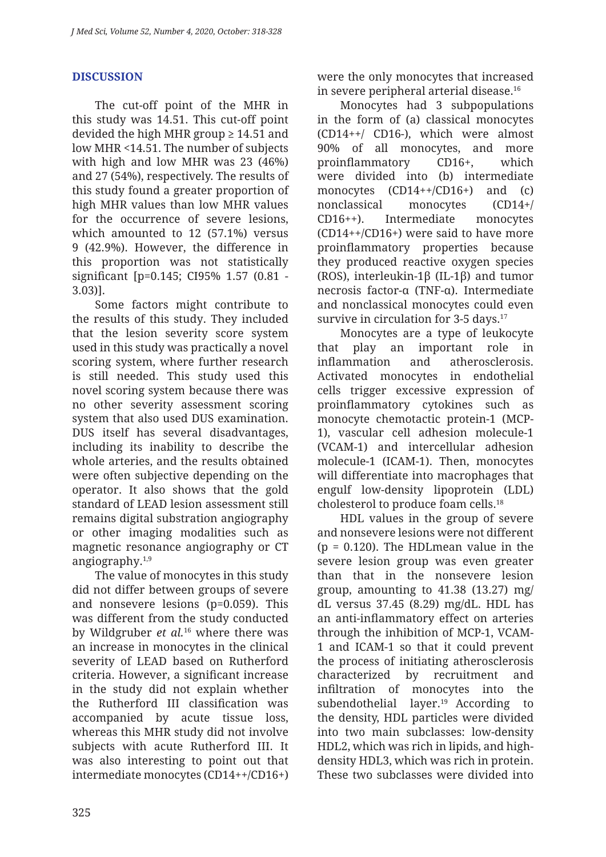# **DISCUSSION**

The cut-off point of the MHR in this study was 14.51. This cut-off point devided the high MHR group  $\geq 14.51$  and low MHR <14.51. The number of subjects with high and low MHR was 23 (46%) and 27 (54%), respectively. The results of this study found a greater proportion of high MHR values than low MHR values for the occurrence of severe lesions, which amounted to 12 (57.1%) versus 9 (42.9%). However, the difference in this proportion was not statistically significant [p=0.145; CI95% 1.57 (0.81 - 3.03)].

Some factors might contribute to the results of this study. They included that the lesion severity score system used in this study was practically a novel scoring system, where further research is still needed. This study used this novel scoring system because there was no other severity assessment scoring system that also used DUS examination. DUS itself has several disadvantages, including its inability to describe the whole arteries, and the results obtained were often subjective depending on the operator. It also shows that the gold standard of LEAD lesion assessment still remains digital substration angiography or other imaging modalities such as magnetic resonance angiography or CT angiography.1,9

The value of monocytes in this study did not differ between groups of severe and nonsevere lesions (p=0.059). This was different from the study conducted by Wildgruber *et al.*16 where there was an increase in monocytes in the clinical severity of LEAD based on Rutherford criteria. However, a significant increase in the study did not explain whether the Rutherford III classification was accompanied by acute tissue loss, whereas this MHR study did not involve subjects with acute Rutherford III. It was also interesting to point out that intermediate monocytes (CD14++/CD16+) were the only monocytes that increased in severe peripheral arterial disease.16

Monocytes had 3 subpopulations in the form of (a) classical monocytes (CD14++/ CD16-), which were almost 90% of all monocytes, and more proinflammatory CD16+, which were divided into (b) intermediate monocytes (CD14++/CD16+) and (c) nonclassical monocytes (CD14+/ CD16++). Intermediate monocytes (CD14++/CD16+) were said to have more proinflammatory properties because they produced reactive oxygen species (ROS), interleukin-1β (IL-1β) and tumor necrosis factor-α (TNF-α). Intermediate and nonclassical monocytes could even survive in circulation for 3-5 days.<sup>17</sup>

Monocytes are a type of leukocyte that play an important role in inflammation and atherosclerosis. Activated monocytes in endothelial cells trigger excessive expression of proinflammatory cytokines such as monocyte chemotactic protein-1 (MCP-1), vascular cell adhesion molecule-1 (VCAM-1) and intercellular adhesion molecule-1 (ICAM-1). Then, monocytes will differentiate into macrophages that engulf low-density lipoprotein (LDL) cholesterol to produce foam cells.18

HDL values in the group of severe and nonsevere lesions were not different  $(p = 0.120)$ . The HDL mean value in the severe lesion group was even greater than that in the nonsevere lesion group, amounting to 41.38 (13.27) mg/ dL versus 37.45 (8.29) mg/dL. HDL has an anti-inflammatory effect on arteries through the inhibition of MCP-1, VCAM-1 and ICAM-1 so that it could prevent the process of initiating atherosclerosis characterized by recruitment and infiltration of monocytes into the subendothelial layer.<sup>19</sup> According to the density, HDL particles were divided into two main subclasses: low-density HDL2, which was rich in lipids, and highdensity HDL3, which was rich in protein. These two subclasses were divided into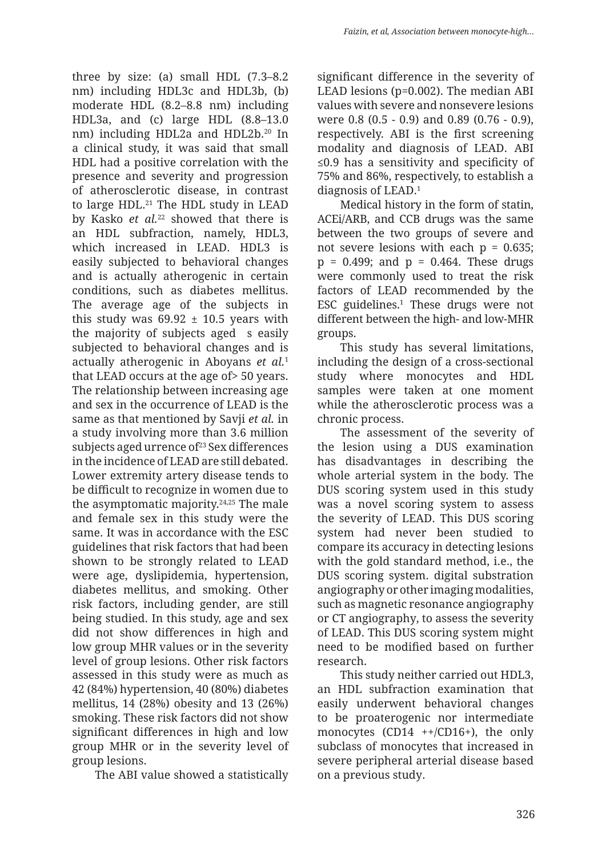three by size: (a) small HDL (7.3–8.2 nm) including HDL3c and HDL3b, (b) moderate HDL (8.2–8.8 nm) including HDL3a, and (c) large HDL (8.8–13.0 nm) including HDL2a and HDL2b.20 In a clinical study, it was said that small HDL had a positive correlation with the presence and severity and progression of atherosclerotic disease, in contrast to large HDL.<sup>21</sup> The HDL study in LEAD by Kasko *et al.*22 showed that there is an HDL subfraction, namely, HDL3, which increased in LEAD. HDL3 is easily subjected to behavioral changes and is actually atherogenic in certain conditions, such as diabetes mellitus. The average age of the subjects in this study was  $69.92 \pm 10.5$  years with the majority of subjects aged s easily subjected to behavioral changes and is actually atherogenic in Aboyans *et al.*<sup>1</sup> that LEAD occurs at the age of> 50 years. The relationship between increasing age and sex in the occurrence of LEAD is the same as that mentioned by Savji *et al.* in a study involving more than 3.6 million subjects aged urrence of  $23$  Sex differences in the incidence of LEAD are still debated. Lower extremity artery disease tends to be difficult to recognize in women due to the asymptomatic majority.<sup>24,25</sup> The male and female sex in this study were the same. It was in accordance with the ESC guidelines that risk factors that had been shown to be strongly related to LEAD were age, dyslipidemia, hypertension, diabetes mellitus, and smoking. Other risk factors, including gender, are still being studied. In this study, age and sex did not show differences in high and low group MHR values or in the severity level of group lesions. Other risk factors assessed in this study were as much as 42 (84%) hypertension, 40 (80%) diabetes mellitus, 14 (28%) obesity and 13 (26%) smoking. These risk factors did not show significant differences in high and low group MHR or in the severity level of group lesions.

The ABI value showed a statistically

significant difference in the severity of LEAD lesions (p=0.002). The median ABI values with severe and nonsevere lesions were 0.8 (0.5 - 0.9) and 0.89 (0.76 - 0.9), respectively. ABI is the first screening modality and diagnosis of LEAD. ABI ≤0.9 has a sensitivity and specificity of 75% and 86%, respectively, to establish a diagnosis of LEAD.1

Medical history in the form of statin, ACEi/ARB, and CCB drugs was the same between the two groups of severe and not severe lesions with each  $p = 0.635$ ;  $p = 0.499$ ; and  $p = 0.464$ . These drugs were commonly used to treat the risk factors of LEAD recommended by the ESC guidelines.1 These drugs were not different between the high- and low-MHR groups.

This study has several limitations, including the design of a cross-sectional study where monocytes and HDL samples were taken at one moment while the atherosclerotic process was a chronic process.

The assessment of the severity of the lesion using a DUS examination has disadvantages in describing the whole arterial system in the body. The DUS scoring system used in this study was a novel scoring system to assess the severity of LEAD. This DUS scoring system had never been studied to compare its accuracy in detecting lesions with the gold standard method, i.e., the DUS scoring system. digital substration angiography or other imaging modalities, such as magnetic resonance angiography or CT angiography, to assess the severity of LEAD. This DUS scoring system might need to be modified based on further research.

This study neither carried out HDL3, an HDL subfraction examination that easily underwent behavioral changes to be proaterogenic nor intermediate monocytes (CD14 ++/CD16+), the only subclass of monocytes that increased in severe peripheral arterial disease based on a previous study.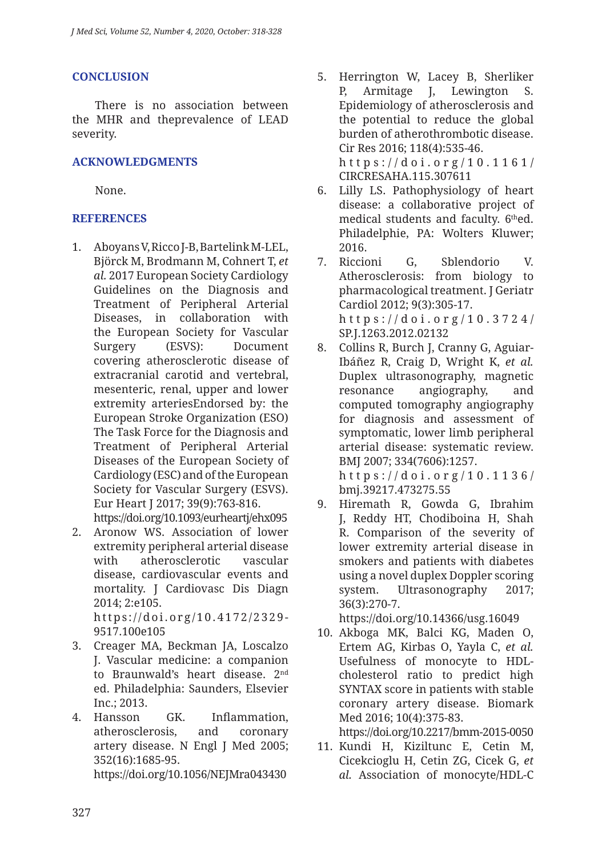# **CONCLUSION**

There is no association between the MHR and theprevalence of LEAD severity.

#### **ACKNOWLEDGMENTS**

None.

#### **REFERENCES**

- 1. Aboyans V, Ricco J-B, Bartelink M-LEL, Björck M, Brodmann M, Cohnert T, *et al.* 2017 European Society Cardiology Guidelines on the Diagnosis and Treatment of Peripheral Arterial Diseases, in collaboration with the European Society for Vascular Surgery (ESVS): Document covering atherosclerotic disease of extracranial carotid and vertebral, mesenteric, renal, upper and lower extremity arteriesEndorsed by: the European Stroke Organization (ESO) The Task Force for the Diagnosis and Treatment of Peripheral Arterial Diseases of the European Society of Cardiology (ESC) and of the European Society for Vascular Surgery (ESVS). Eur Heart J 2017; 39(9):763-816. https://doi.org/10.1093/eurheartj/ehx095
- 2. Aronow WS. Association of lower extremity peripheral arterial disease with atherosclerotic vascular disease, cardiovascular events and mortality. J Cardiovasc Dis Diagn 2014; 2:e105. https://doi.org/10.4172/2329- 9517.100e105
- 3. Creager MA, Beckman JA, Loscalzo J. Vascular medicine: a companion to Braunwald's heart disease. 2nd ed. Philadelphia: Saunders, Elsevier Inc.; 2013.
- 4. Hansson GK. Inflammation, atherosclerosis, and coronary artery disease. N Engl J Med 2005; 352(16):1685-95. https://doi.org/10.1056/NEJMra043430
- 5. Herrington W, Lacey B, Sherliker P, Armitage J, Lewington S. Epidemiology of atherosclerosis and the potential to reduce the global burden of atherothrombotic disease. Cir Res 2016; 118(4):535-46. https://doi.org/10.1161/ CIRCRESAHA.115.307611
- 6. Lilly LS. Pathophysiology of heart disease: a collaborative project of medical students and faculty.  $6<sup>th</sup>$ ed. Philadelphie, PA: Wolters Kluwer; 2016.
- 7. Riccioni G, Sblendorio V. Atherosclerosis: from biology to pharmacological treatment. J Geriatr Cardiol 2012; 9(3):305-17. https://doi.org/10.3724/ SP.J.1263.2012.02132
- 8. Collins R, Burch J, Cranny G, Aguiar-Ibáñez R, Craig D, Wright K, *et al.*  Duplex ultrasonography, magnetic resonance angiography, and computed tomography angiography for diagnosis and assessment of symptomatic, lower limb peripheral arterial disease: systematic review. BMJ 2007; 334(7606):1257. https://doi.org/10.1136/ bmj.39217.473275.55
- 9. Hiremath R, Gowda G, Ibrahim J, Reddy HT, Chodiboina H, Shah R. Comparison of the severity of lower extremity arterial disease in smokers and patients with diabetes using a novel duplex Doppler scoring system. Ultrasonography 2017; 36(3):270-7.

https://doi.org/10.14366/usg.16049

10. Akboga MK, Balci KG, Maden O, Ertem AG, Kirbas O, Yayla C, *et al.* Usefulness of monocyte to HDLcholesterol ratio to predict high SYNTAX score in patients with stable coronary artery disease. Biomark Med 2016; 10(4):375-83.

https://doi.org/10.2217/bmm-2015-0050

11. Kundi H, Kiziltunc E, Cetin M, Cicekcioglu H, Cetin ZG, Cicek G, *et al.* Association of monocyte/HDL-C